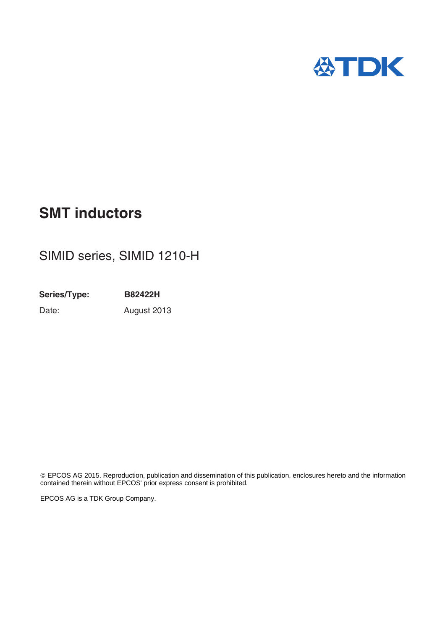

## **SMT inductors**

### SIMID series, SIMID 1210-H

**Series/Type: B82422H** Date: August 2013

 EPCOS AG 2015. Reproduction, publication and dissemination of this publication, enclosures hereto and the information contained therein without EPCOS' prior express consent is prohibited.

EPCOS AG is a TDK Group Company.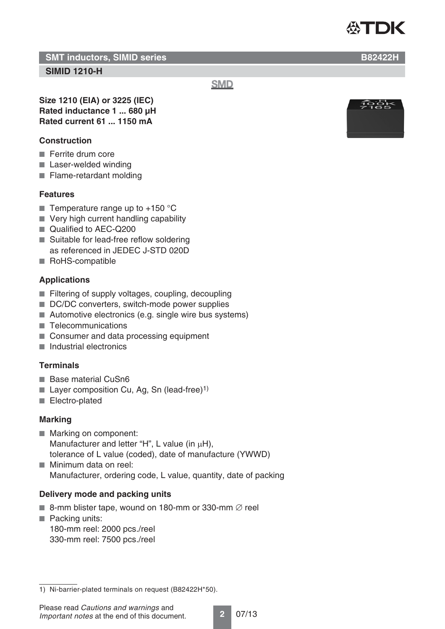

**SMT inductors, SIMID series BB2422H** 

#### **SIMID 1210-H**

**SMD** 

**Size 1210 (EIA) or 3225 (IEC) Rated inductance 1 ... 680 μH Rated current 61 ... 1150 mA**

#### **Construction**

- Ferrite drum core
- Laser-welded winding
- Flame-retardant molding

#### **Features**

- Temperature range up to  $+150$  °C
- Very high current handling capability
- Qualified to AEC-Q200
- Suitable for lead-free reflow soldering as referenced in JEDEC J-STD 020D
- RoHS-compatible

#### **Applications**

- Filtering of supply voltages, coupling, decoupling
- DC/DC converters, switch-mode power supplies
- Automotive electronics (e.g. single wire bus systems)
- Telecommunications
- Consumer and data processing equipment
- Industrial electronics

#### **Terminals**

- Base material CuSn6
- **Layer composition Cu, Ag, Sn (lead-free)**<sup>1)</sup>
- Electro-plated

#### **Marking**

- Marking on component: Manufacturer and letter "H", L value (in  $\mu$ H), tolerance of L value (coded), date of manufacture (YWWD)
- Minimum data on reel: Manufacturer, ordering code, L value, quantity, date of packing

#### **Delivery mode and packing units**

- 8-mm blister tape, wound on 180-mm or 330-mm  $\varnothing$  reel
- Packing units: 180-mm reel: 2000 pcs./reel 330-mm reel: 7500 pcs./reel





<sup>1)</sup> Ni-barrier-plated terminals on request (B82422H\*50).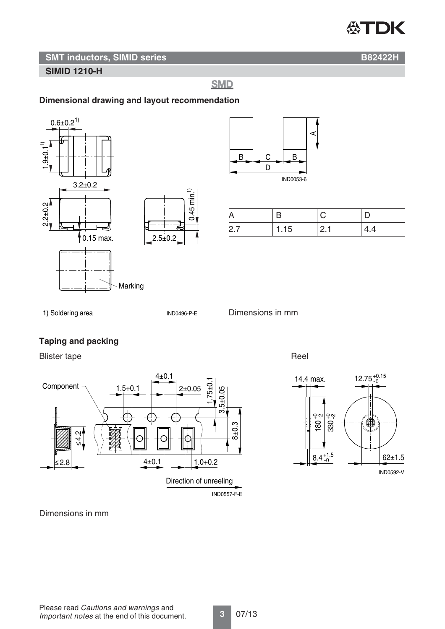# ∰TDK

#### **SMT inductors, SIMID series BB2422H**

#### **SIMID 1210-H**

**SMD** 

#### **Dimensional drawing and layout recommendation**





| 27 | 1.15 | <b>2.1</b> | 4.4 |
|----|------|------------|-----|

1) Soldering area

IND0496-P-E

0.45 min.1)

Dimensions in mm

#### **Taping and packing**

Blister tape Reel





Dimensions in mm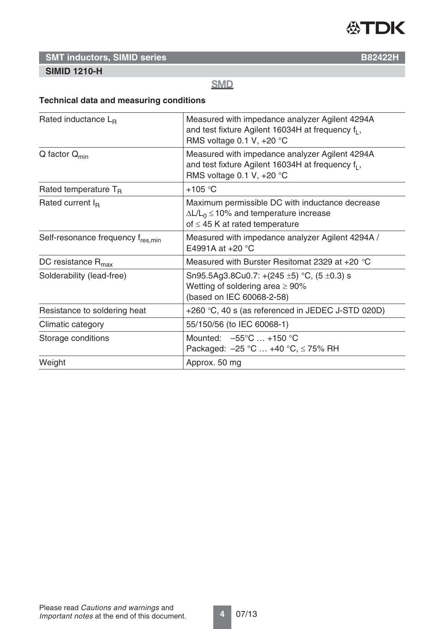

### **SMT inductors, SIMID series BB2422H**

#### **SIMID 1210-H**

#### **SMD**

#### **Technical data and measuring conditions**

| Rated inductance $L_{B}$                      | Measured with impedance analyzer Agilent 4294A<br>and test fixture Agilent 16034H at frequency f <sub>1</sub> ,<br>RMS voltage 0.1 V, $+20$ °C |  |  |  |  |
|-----------------------------------------------|------------------------------------------------------------------------------------------------------------------------------------------------|--|--|--|--|
| $Q$ factor $Q_{min}$                          | Measured with impedance analyzer Agilent 4294A<br>and test fixture Agilent 16034H at frequency $f_1$ ,<br>RMS voltage 0.1 V, $+20$ °C          |  |  |  |  |
| Rated temperature $T_R$                       | $+105$ °C                                                                                                                                      |  |  |  |  |
| Rated current I <sub>R</sub>                  | Maximum permissible DC with inductance decrease<br>$\Delta L/L_0 \le 10\%$ and temperature increase<br>of $\leq$ 45 K at rated temperature     |  |  |  |  |
| Self-resonance frequency f <sub>res.min</sub> | Measured with impedance analyzer Agilent 4294A /<br>E4991A at $+20$ °C                                                                         |  |  |  |  |
| DC resistance $R_{\text{max}}$                | Measured with Burster Resitomat 2329 at +20 $^{\circ}$ C                                                                                       |  |  |  |  |
| Solderability (lead-free)                     | Sn95.5Ag3.8Cu0.7: +(245 $\pm$ 5) °C, (5 $\pm$ 0.3) s<br>Wetting of soldering area $\geq 90\%$<br>(based on IEC 60068-2-58)                     |  |  |  |  |
| Resistance to soldering heat                  | +260 °C, 40 s (as referenced in JEDEC J-STD 020D)                                                                                              |  |  |  |  |
| Climatic category                             | 55/150/56 (to IEC 60068-1)                                                                                                                     |  |  |  |  |
| Storage conditions                            | Mounted: $-55^{\circ}$ C  +150 °C<br>Packaged: $-25$ °C  +40 °C, $\leq$ 75% RH                                                                 |  |  |  |  |
| Weight                                        | Approx. 50 mg                                                                                                                                  |  |  |  |  |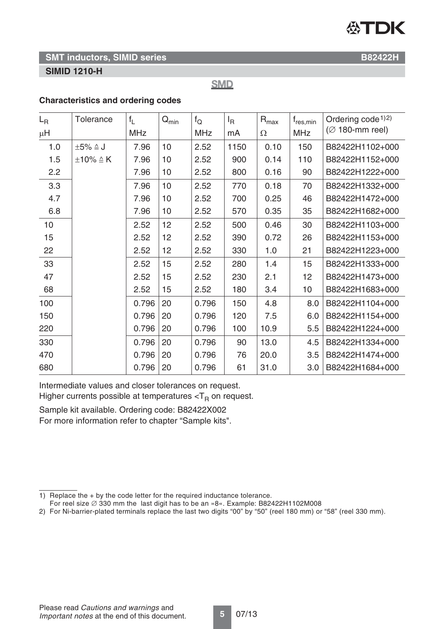# **ASTDK**

#### **SMT inductors, SIMID series BB2422H**

#### **SIMID 1210-H**

**SMD** 

#### **Characteristics and ordering codes**

| $L_{\mathsf{R}}$ | Tolerance               | $f_1$      | $Q_{min}$ | $f_{\rm Q}$ | $I_{\mathsf{R}}$ | $R_{\text{max}}$ | t <sub>res.min</sub> | Ordering code <sup>1)2)</sup> |
|------------------|-------------------------|------------|-----------|-------------|------------------|------------------|----------------------|-------------------------------|
| μH               |                         | <b>MHz</b> |           | <b>MHz</b>  | mA               | $\Omega$         | <b>MHz</b>           | $(Ø 180$ -mm reel)            |
| 1.0              | $\pm 5\% \triangleq J$  | 7.96       | 10        | 2.52        | 1150             | 0.10             | 150                  | B82422H1102+000               |
| 1.5              | $\pm 10\% \triangleq K$ | 7.96       | 10        | 2.52        | 900              | 0.14             | 110                  | B82422H1152+000               |
| 2.2              |                         | 7.96       | 10        | 2.52        | 800              | 0.16             | 90                   | B82422H1222+000               |
| 3.3              |                         | 7.96       | 10        | 2.52        | 770              | 0.18             | 70                   | B82422H1332+000               |
| 4.7              |                         | 7.96       | 10        | 2.52        | 700              | 0.25             | 46                   | B82422H1472+000               |
| 6.8              |                         | 7.96       | 10        | 2.52        | 570              | 0.35             | 35                   | B82422H1682+000               |
| 10               |                         | 2.52       | 12        | 2.52        | 500              | 0.46             | 30                   | B82422H1103+000               |
| 15               |                         | 2.52       | 12        | 2.52        | 390              | 0.72             | 26                   | B82422H1153+000               |
| 22               |                         | 2.52       | 12        | 2.52        | 330              | 1.0              | 21                   | B82422H1223+000               |
| 33               |                         | 2.52       | 15        | 2.52        | 280              | 1.4              | 15                   | B82422H1333+000               |
| 47               |                         | 2.52       | 15        | 2.52        | 230              | 2.1              | 12                   | B82422H1473+000               |
| 68               |                         | 2.52       | 15        | 2.52        | 180              | 3.4              | 10                   | B82422H1683+000               |
| 100              |                         | 0.796      | 20        | 0.796       | 150              | 4.8              | 8.0                  | B82422H1104+000               |
| 150              |                         | 0.796      | 20        | 0.796       | 120              | 7.5              | 6.0                  | B82422H1154+000               |
| 220              |                         | 0.796      | 20        | 0.796       | 100              | 10.9             | 5.5                  | B82422H1224+000               |
| 330              |                         | 0.796      | 20        | 0.796       | 90               | 13.0             | 4.5                  | B82422H1334+000               |
| 470              |                         | 0.796      | 20        | 0.796       | 76               | 20.0             | 3.5                  | B82422H1474+000               |
| 680              |                         | 0.796      | 20        | 0.796       | 61               | 31.0             | 3.0                  | B82422H1684+000               |

Intermediate values and closer tolerances on request.

Higher currents possible at temperatures  $<\Gamma_R$  on request.

Sample kit available. Ordering code: B82422X002 For more information refer to chapter "Sample kits".

For reel size  $\varnothing$  330 mm the last digit has to be an »8«. Example: B82422H1102M008

<sup>1)</sup> Replace the + by the code letter for the required inductance tolerance.

<sup>2)</sup> For Ni-barrier-plated terminals replace the last two digits "00" by "50" (reel 180 mm) or "58" (reel 330 mm).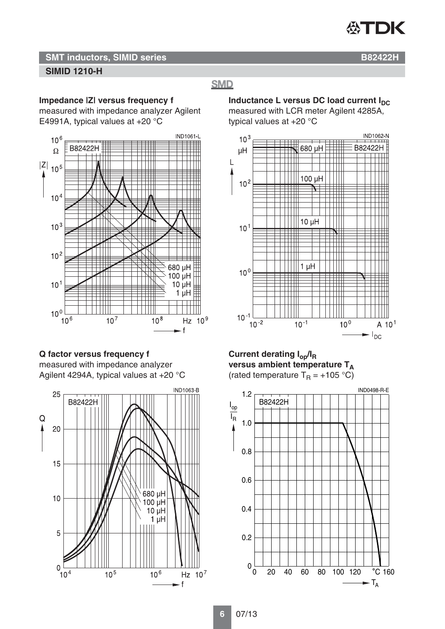

#### **SMT inductors, SIMID series BB2422H SIMID 1210-H**

#### **SMD**

#### **Impedance |Z| versus frequency f**

measured with impedance analyzer Agilent E4991A, typical values at +20 °C



**Q factor versus frequency f** measured with impedance analyzer Agilent 4294A, typical values at +20 °C



**Inductance L versus DC load current I<sub>DC</sub>** measured with LCR meter Agilent 4285A, typical values at +20 °C



#### **Current derating Iop/IR** versus ambient temperature T<sub>A</sub> (rated temperature  $T_R = +105 \degree C$ )

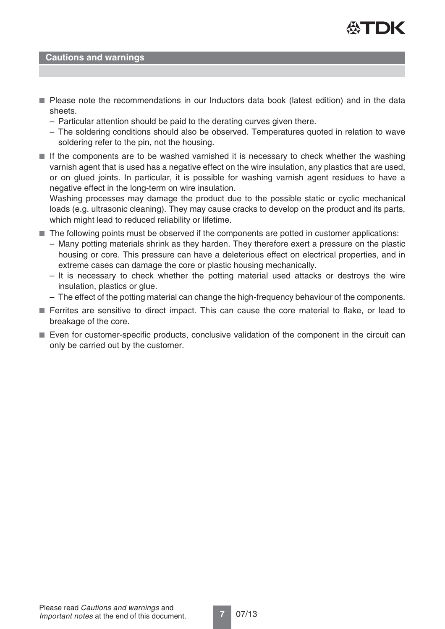

#### **Cautions and warnings**

- Please note the recommendations in our Inductors data book (latest edition) and in the data sheets.
	- Particular attention should be paid to the derating curves given there.
	- The soldering conditions should also be observed. Temperatures quoted in relation to wave soldering refer to the pin, not the housing.
- If the components are to be washed varnished it is necessary to check whether the washing varnish agent that is used has a negative effect on the wire insulation, any plastics that are used, or on glued joints. In particular, it is possible for washing varnish agent residues to have a negative effect in the long-term on wire insulation.

Washing processes may damage the product due to the possible static or cyclic mechanical loads (e.g. ultrasonic cleaning). They may cause cracks to develop on the product and its parts, which might lead to reduced reliability or lifetime.

- The following points must be observed if the components are potted in customer applications:
	- Many potting materials shrink as they harden. They therefore exert a pressure on the plastic housing or core. This pressure can have a deleterious effect on electrical properties, and in extreme cases can damage the core or plastic housing mechanically.
	- It is necessary to check whether the potting material used attacks or destroys the wire insulation, plastics or glue.
	- The effect of the potting material can change the high-frequency behaviour of the components.
- Ferrites are sensitive to direct impact. This can cause the core material to flake, or lead to breakage of the core.
- Even for customer-specific products, conclusive validation of the component in the circuit can only be carried out by the customer.